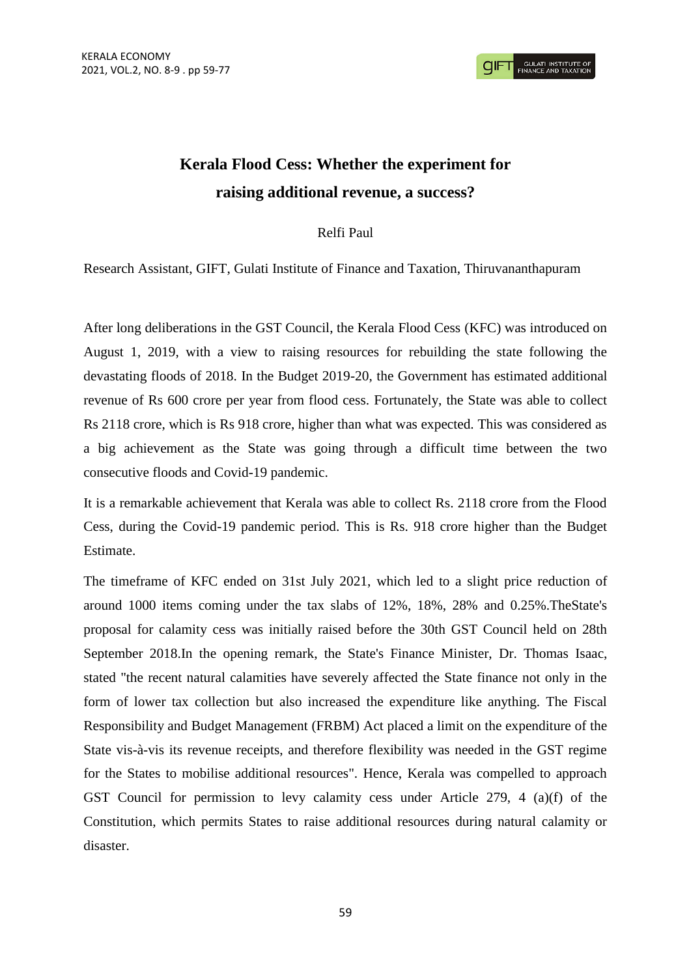# **Kerala Flood Cess: Whether the experiment for raising additional revenue, a success?**

# Relfi Paul

Research Assistant, GIFT, Gulati Institute of Finance and Taxation, Thiruvananthapuram

After long deliberations in the GST Council, the Kerala Flood Cess (KFC) was introduced on August 1, 2019, with a view to raising resources for rebuilding the state following the devastating floods of 2018. In the Budget 2019-20, the Government has estimated additional revenue of Rs 600 crore per year from flood cess. Fortunately, the State was able to collect Rs 2118 crore, which is Rs 918 crore, higher than what was expected. This was considered as a big achievement as the State was going through a difficult time between the two consecutive floods and Covid-19 pandemic.

It is a remarkable achievement that Kerala was able to collect Rs. 2118 crore from the Flood Cess, during the Covid-19 pandemic period. This is Rs. 918 crore higher than the Budget Estimate.

The timeframe of KFC ended on 31st July 2021, which led to a slight price reduction of around 1000 items coming under the tax slabs of 12%, 18%, 28% and 0.25%.TheState's proposal for calamity cess was initially raised before the 30th GST Council held on 28th September 2018.In the opening remark, the State's Finance Minister, Dr. Thomas Isaac, stated "the recent natural calamities have severely affected the State finance not only in the form of lower tax collection but also increased the expenditure like anything. The Fiscal Responsibility and Budget Management (FRBM) Act placed a limit on the expenditure of the State vis-à-vis its revenue receipts, and therefore flexibility was needed in the GST regime for the States to mobilise additional resources". Hence, Kerala was compelled to approach GST Council for permission to levy calamity cess under Article 279, 4 (a)(f) of the Constitution, which permits States to raise additional resources during natural calamity or disaster.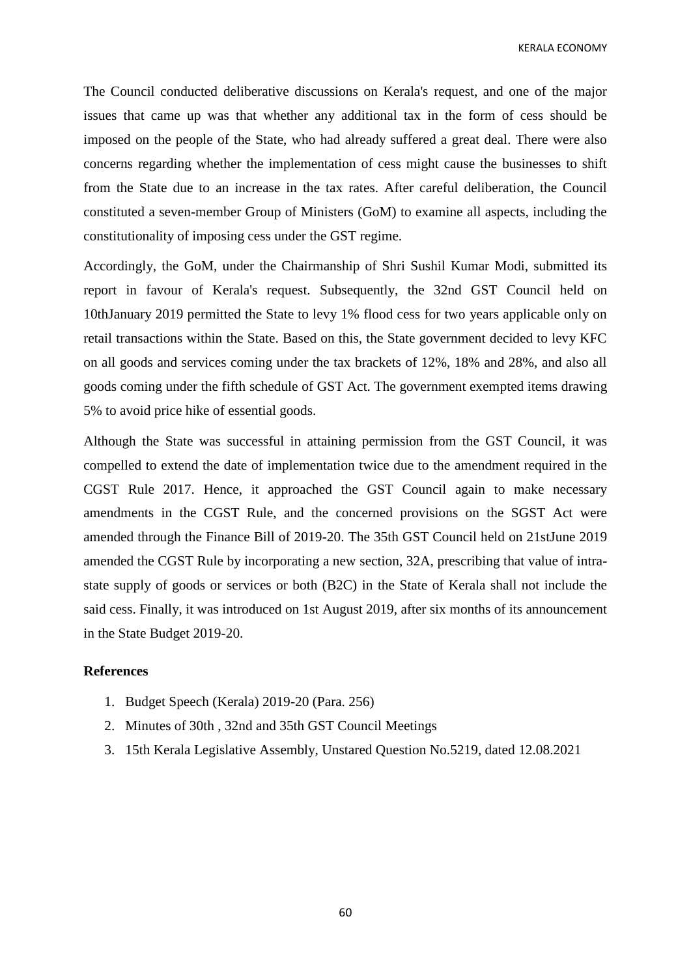The Council conducted deliberative discussions on Kerala's request, and one of the major issues that came up was that whether any additional tax in the form of cess should be imposed on the people of the State, who had already suffered a great deal. There were also concerns regarding whether the implementation of cess might cause the businesses to shift from the State due to an increase in the tax rates. After careful deliberation, the Council constituted a seven-member Group of Ministers (GoM) to examine all aspects, including the constitutionality of imposing cess under the GST regime.

Accordingly, the GoM, under the Chairmanship of Shri Sushil Kumar Modi, submitted its report in favour of Kerala's request. Subsequently, the 32nd GST Council held on 10thJanuary 2019 permitted the State to levy 1% flood cess for two years applicable only on retail transactions within the State. Based on this, the State government decided to levy KFC on all goods and services coming under the tax brackets of 12%, 18% and 28%, and also all goods coming under the fifth schedule of GST Act. The government exempted items drawing 5% to avoid price hike of essential goods.

Although the State was successful in attaining permission from the GST Council, it was compelled to extend the date of implementation twice due to the amendment required in the CGST Rule 2017. Hence, it approached the GST Council again to make necessary amendments in the CGST Rule, and the concerned provisions on the SGST Act were amended through the Finance Bill of 2019-20. The 35th GST Council held on 21stJune 2019 amended the CGST Rule by incorporating a new section, 32A, prescribing that value of intrastate supply of goods or services or both (B2C) in the State of Kerala shall not include the said cess. Finally, it was introduced on 1st August 2019, after six months of its announcement in the State Budget 2019-20.

## **References**

- 1. Budget Speech (Kerala) 2019-20 (Para. 256)
- 2. Minutes of 30th , 32nd and 35th GST Council Meetings
- 3. 15th Kerala Legislative Assembly, Unstared Question No.5219, dated 12.08.2021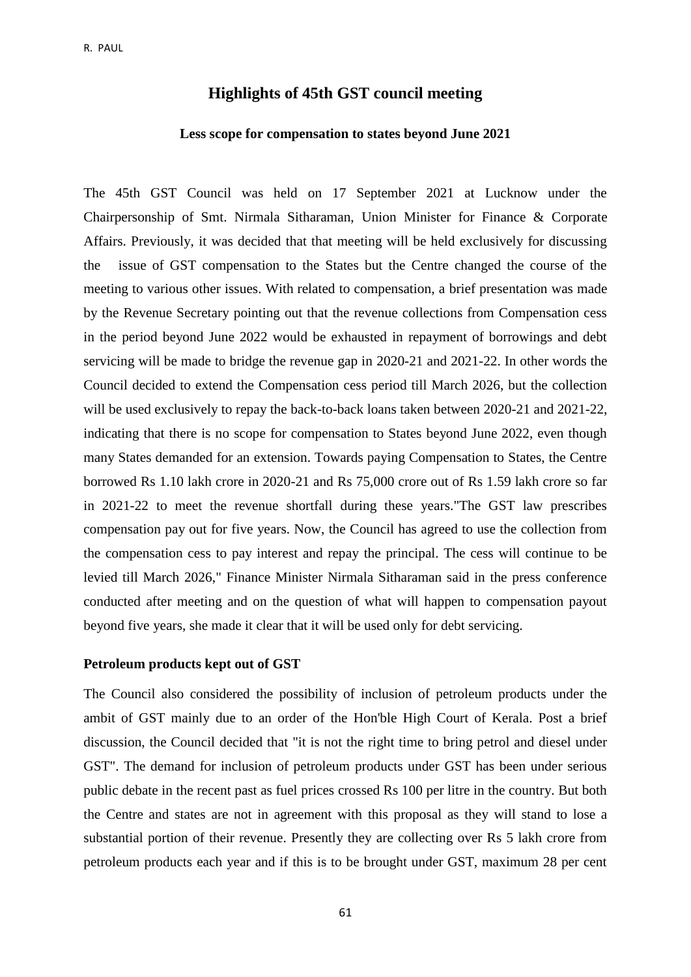## **Highlights of 45th GST council meeting**

### **Less scope for compensation to states beyond June 2021**

The 45th GST Council was held on 17 September 2021 at Lucknow under the Chairpersonship of Smt. Nirmala Sitharaman, Union Minister for Finance & Corporate Affairs. Previously, it was decided that that meeting will be held exclusively for discussing the issue of GST compensation to the States but the Centre changed the course of the meeting to various other issues. With related to compensation, a brief presentation was made by the Revenue Secretary pointing out that the revenue collections from Compensation cess in the period beyond June 2022 would be exhausted in repayment of borrowings and debt servicing will be made to bridge the revenue gap in 2020-21 and 2021-22. In other words the Council decided to extend the Compensation cess period till March 2026, but the collection will be used exclusively to repay the back-to-back loans taken between 2020-21 and 2021-22, indicating that there is no scope for compensation to States beyond June 2022, even though many States demanded for an extension. Towards paying Compensation to States, the Centre borrowed Rs 1.10 lakh crore in 2020-21 and Rs 75,000 crore out of Rs 1.59 lakh crore so far in 2021-22 to meet the revenue shortfall during these years."The GST law prescribes compensation pay out for five years. Now, the Council has agreed to use the collection from the compensation cess to pay interest and repay the principal. The cess will continue to be levied till March 2026," Finance Minister Nirmala Sitharaman said in the press conference conducted after meeting and on the question of what will happen to compensation payout beyond five years, she made it clear that it will be used only for debt servicing.

#### **Petroleum products kept out of GST**

The Council also considered the possibility of inclusion of petroleum products under the ambit of GST mainly due to an order of the Hon'ble High Court of Kerala. Post a brief discussion, the Council decided that "it is not the right time to bring petrol and diesel under GST". The demand for inclusion of petroleum products under GST has been under serious public debate in the recent past as fuel prices crossed Rs 100 per litre in the country. But both the Centre and states are not in agreement with this proposal as they will stand to lose a substantial portion of their revenue. Presently they are collecting over Rs 5 lakh crore from petroleum products each year and if this is to be brought under GST, maximum 28 per cent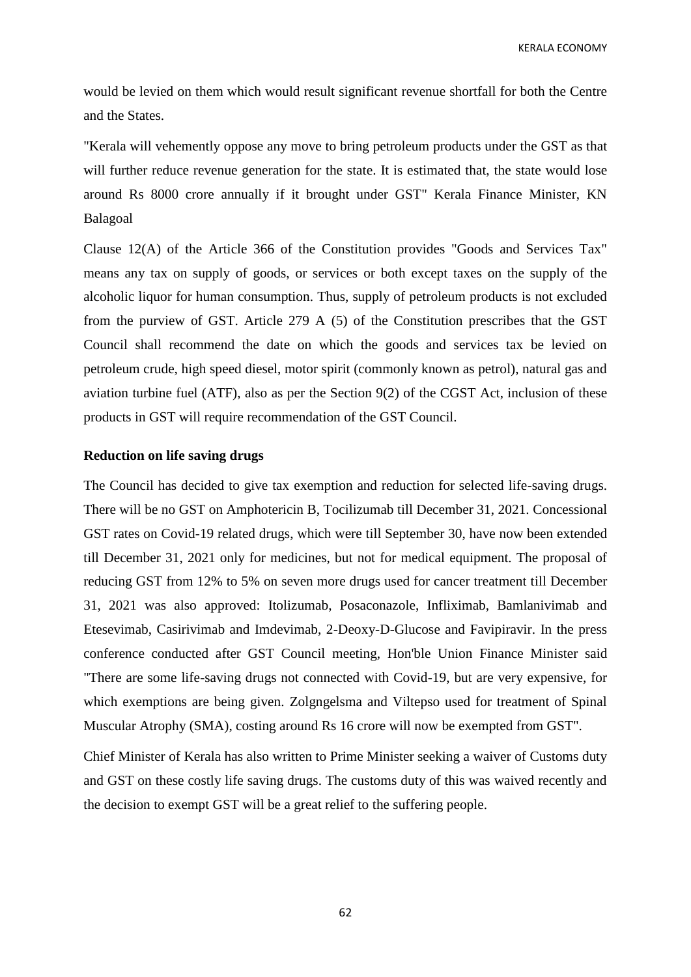would be levied on them which would result significant revenue shortfall for both the Centre and the States.

"Kerala will vehemently oppose any move to bring petroleum products under the GST as that will further reduce revenue generation for the state. It is estimated that, the state would lose around Rs 8000 crore annually if it brought under GST" Kerala Finance Minister, KN Balagoal

Clause 12(A) of the Article 366 of the Constitution provides "Goods and Services Tax" means any tax on supply of goods, or services or both except taxes on the supply of the alcoholic liquor for human consumption. Thus, supply of petroleum products is not excluded from the purview of GST. Article 279 A (5) of the Constitution prescribes that the GST Council shall recommend the date on which the goods and services tax be levied on petroleum crude, high speed diesel, motor spirit (commonly known as petrol), natural gas and aviation turbine fuel (ATF), also as per the Section 9(2) of the CGST Act, inclusion of these products in GST will require recommendation of the GST Council.

### **Reduction on life saving drugs**

The Council has decided to give tax exemption and reduction for selected life-saving drugs. There will be no GST on Amphotericin B, Tocilizumab till December 31, 2021. Concessional GST rates on Covid-19 related drugs, which were till September 30, have now been extended till December 31, 2021 only for medicines, but not for medical equipment. The proposal of reducing GST from 12% to 5% on seven more drugs used for cancer treatment till December 31, 2021 was also approved: Itolizumab, Posaconazole, Infliximab, Bamlanivimab and Etesevimab, Casirivimab and Imdevimab, 2-Deoxy-D-Glucose and Favipiravir. In the press conference conducted after GST Council meeting, Hon'ble Union Finance Minister said "There are some life-saving drugs not connected with Covid-19, but are very expensive, for which exemptions are being given. Zolgngelsma and Viltepso used for treatment of Spinal Muscular Atrophy (SMA), costing around Rs 16 crore will now be exempted from GST".

Chief Minister of Kerala has also written to Prime Minister seeking a waiver of Customs duty and GST on these costly life saving drugs. The customs duty of this was waived recently and the decision to exempt GST will be a great relief to the suffering people.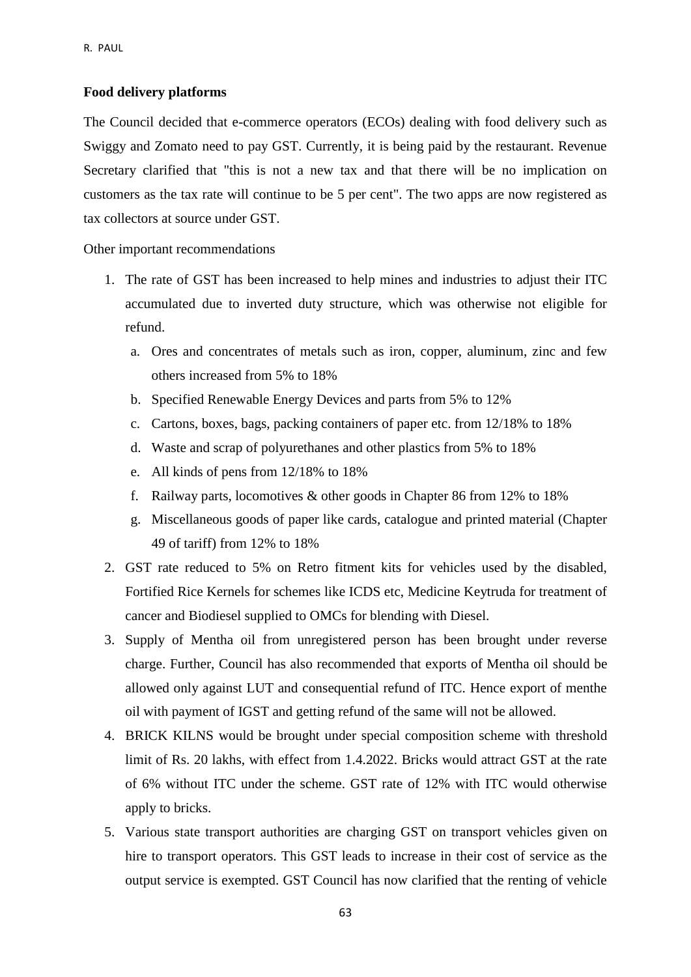### **Food delivery platforms**

The Council decided that e-commerce operators (ECOs) dealing with food delivery such as Swiggy and Zomato need to pay GST. Currently, it is being paid by the restaurant. Revenue Secretary clarified that "this is not a new tax and that there will be no implication on customers as the tax rate will continue to be 5 per cent". The two apps are now registered as tax collectors at source under GST.

Other important recommendations

- 1. The rate of GST has been increased to help mines and industries to adjust their ITC accumulated due to inverted duty structure, which was otherwise not eligible for refund.
	- a. Ores and concentrates of metals such as iron, copper, aluminum, zinc and few others increased from 5% to 18%
	- b. Specified Renewable Energy Devices and parts from 5% to 12%
	- c. Cartons, boxes, bags, packing containers of paper etc. from 12/18% to 18%
	- d. Waste and scrap of polyurethanes and other plastics from 5% to 18%
	- e. All kinds of pens from 12/18% to 18%
	- f. Railway parts, locomotives & other goods in Chapter 86 from 12% to 18%
	- g. Miscellaneous goods of paper like cards, catalogue and printed material (Chapter 49 of tariff) from 12% to 18%
- 2. GST rate reduced to 5% on Retro fitment kits for vehicles used by the disabled, Fortified Rice Kernels for schemes like ICDS etc, Medicine Keytruda for treatment of cancer and Biodiesel supplied to OMCs for blending with Diesel.
- 3. Supply of Mentha oil from unregistered person has been brought under reverse charge. Further, Council has also recommended that exports of Mentha oil should be allowed only against LUT and consequential refund of ITC. Hence export of menthe oil with payment of IGST and getting refund of the same will not be allowed.
- 4. BRICK KILNS would be brought under special composition scheme with threshold limit of Rs. 20 lakhs, with effect from 1.4.2022. Bricks would attract GST at the rate of 6% without ITC under the scheme. GST rate of 12% with ITC would otherwise apply to bricks.
- 5. Various state transport authorities are charging GST on transport vehicles given on hire to transport operators. This GST leads to increase in their cost of service as the output service is exempted. GST Council has now clarified that the renting of vehicle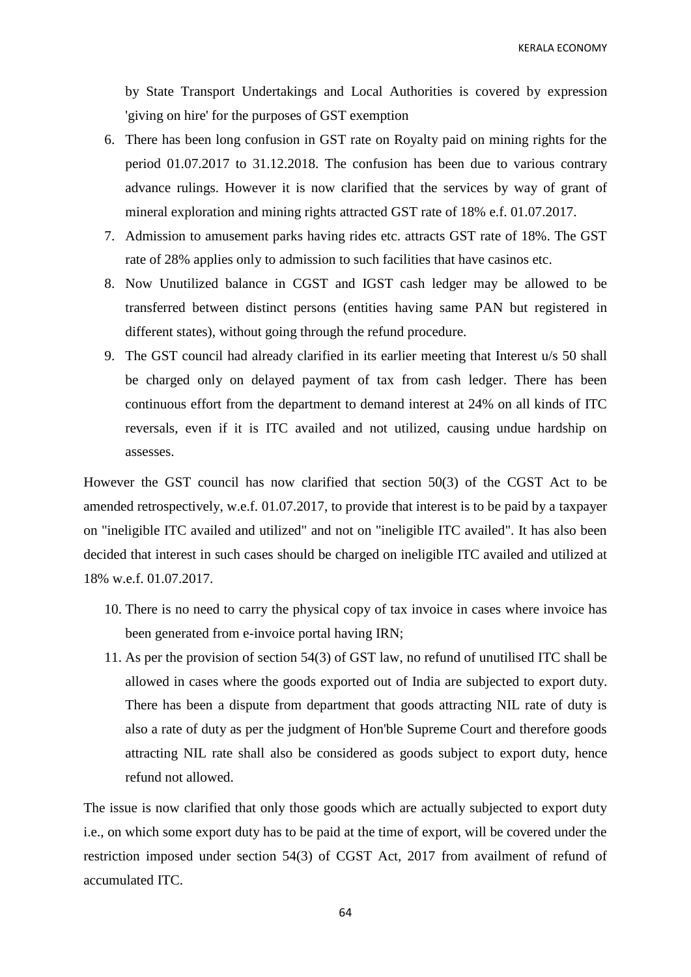by State Transport Undertakings and Local Authorities is covered by expression 'giving on hire' for the purposes of GST exemption

- 6. There has been long confusion in GST rate on Royalty paid on mining rights for the period 01.07.2017 to 31.12.2018. The confusion has been due to various contrary advance rulings. However it is now clarified that the services by way of grant of mineral exploration and mining rights attracted GST rate of 18% e.f. 01.07.2017.
- 7. Admission to amusement parks having rides etc. attracts GST rate of 18%. The GST rate of 28% applies only to admission to such facilities that have casinos etc.
- 8. Now Unutilized balance in CGST and IGST cash ledger may be allowed to be transferred between distinct persons (entities having same PAN but registered in different states), without going through the refund procedure.
- 9. The GST council had already clarified in its earlier meeting that Interest u/s 50 shall be charged only on delayed payment of tax from cash ledger. There has been continuous effort from the department to demand interest at 24% on all kinds of ITC reversals, even if it is ITC availed and not utilized, causing undue hardship on assesses.

However the GST council has now clarified that section 50(3) of the CGST Act to be amended retrospectively, w.e.f. 01.07.2017, to provide that interest is to be paid by a taxpayer on "ineligible ITC availed and utilized" and not on "ineligible ITC availed". It has also been decided that interest in such cases should be charged on ineligible ITC availed and utilized at 18% w.e.f. 01.07.2017.

- 10. There is no need to carry the physical copy of tax invoice in cases where invoice has been generated from e-invoice portal having IRN;
- 11. As per the provision of section 54(3) of GST law, no refund of unutilised ITC shall be allowed in cases where the goods exported out of India are subjected to export duty. There has been a dispute from department that goods attracting NIL rate of duty is also a rate of duty as per the judgment of Hon'ble Supreme Court and therefore goods attracting NIL rate shall also be considered as goods subject to export duty, hence refund not allowed.

The issue is now clarified that only those goods which are actually subjected to export duty i.e., on which some export duty has to be paid at the time of export, will be covered under the restriction imposed under section 54(3) of CGST Act, 2017 from availment of refund of accumulated ITC.

64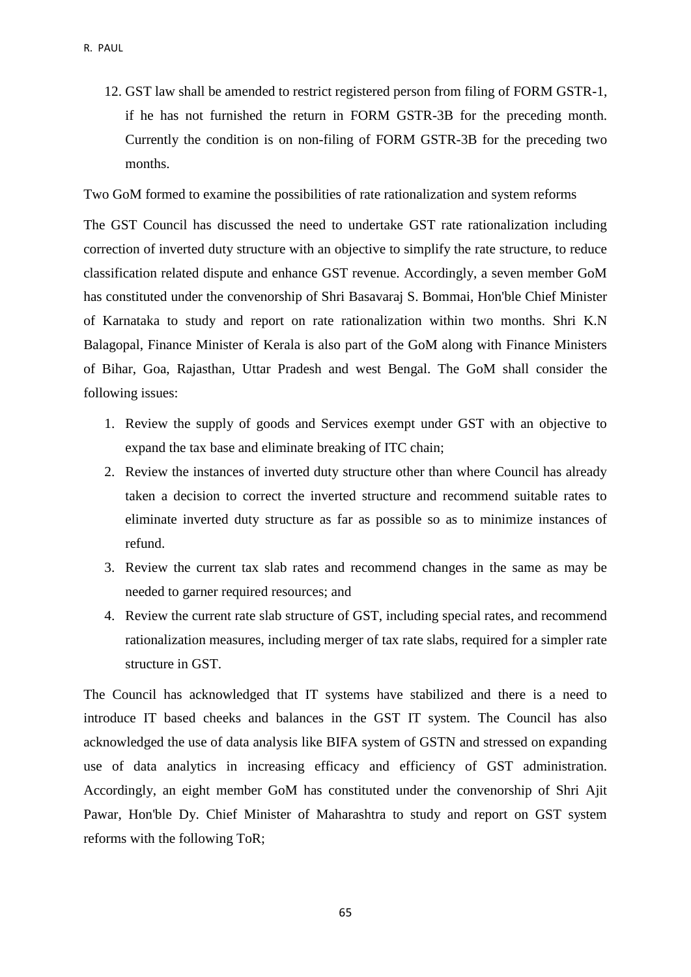12. GST law shall be amended to restrict registered person from filing of FORM GSTR-1, if he has not furnished the return in FORM GSTR-3B for the preceding month. Currently the condition is on non-filing of FORM GSTR-3B for the preceding two months.

Two GoM formed to examine the possibilities of rate rationalization and system reforms

The GST Council has discussed the need to undertake GST rate rationalization including correction of inverted duty structure with an objective to simplify the rate structure, to reduce classification related dispute and enhance GST revenue. Accordingly, a seven member GoM has constituted under the convenorship of Shri Basavaraj S. Bommai, Hon'ble Chief Minister of Karnataka to study and report on rate rationalization within two months. Shri K.N Balagopal, Finance Minister of Kerala is also part of the GoM along with Finance Ministers of Bihar, Goa, Rajasthan, Uttar Pradesh and west Bengal. The GoM shall consider the following issues:

- 1. Review the supply of goods and Services exempt under GST with an objective to expand the tax base and eliminate breaking of ITC chain;
- 2. Review the instances of inverted duty structure other than where Council has already taken a decision to correct the inverted structure and recommend suitable rates to eliminate inverted duty structure as far as possible so as to minimize instances of refund.
- 3. Review the current tax slab rates and recommend changes in the same as may be needed to garner required resources; and
- 4. Review the current rate slab structure of GST, including special rates, and recommend rationalization measures, including merger of tax rate slabs, required for a simpler rate structure in GST.

The Council has acknowledged that IT systems have stabilized and there is a need to introduce IT based cheeks and balances in the GST IT system. The Council has also acknowledged the use of data analysis like BIFA system of GSTN and stressed on expanding use of data analytics in increasing efficacy and efficiency of GST administration. Accordingly, an eight member GoM has constituted under the convenorship of Shri Ajit Pawar, Hon'ble Dy. Chief Minister of Maharashtra to study and report on GST system reforms with the following ToR;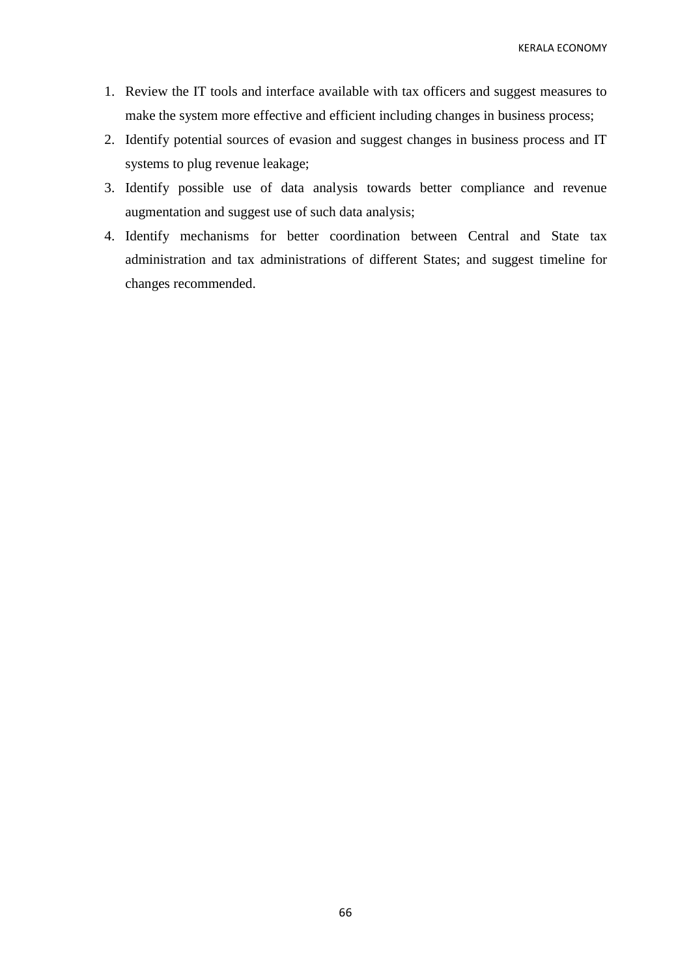- 1. Review the IT tools and interface available with tax officers and suggest measures to make the system more effective and efficient including changes in business process;
- 2. Identify potential sources of evasion and suggest changes in business process and IT systems to plug revenue leakage;
- 3. Identify possible use of data analysis towards better compliance and revenue augmentation and suggest use of such data analysis;
- 4. Identify mechanisms for better coordination between Central and State tax administration and tax administrations of different States; and suggest timeline for changes recommended.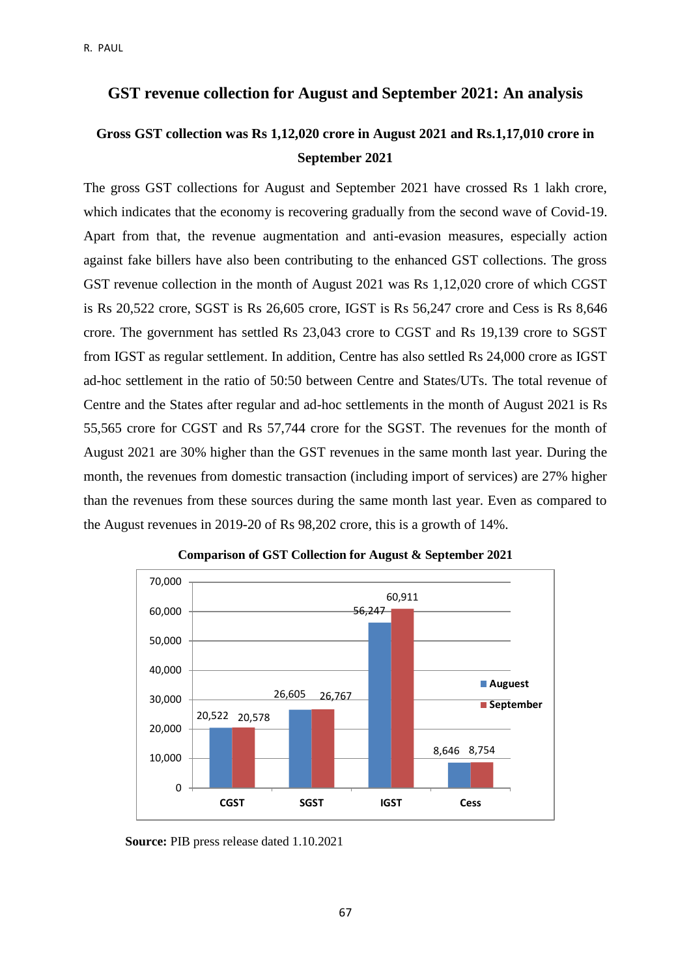# **GST revenue collection for August and September 2021: An analysis**

# **Gross GST collection was Rs 1,12,020 crore in August 2021 and Rs.1,17,010 crore in September 2021**

The gross GST collections for August and September 2021 have crossed Rs 1 lakh crore, which indicates that the economy is recovering gradually from the second wave of Covid-19. Apart from that, the revenue augmentation and anti-evasion measures, especially action against fake billers have also been contributing to the enhanced GST collections. The gross GST revenue collection in the month of August 2021 was Rs 1,12,020 crore of which CGST is Rs 20,522 crore, SGST is Rs 26,605 crore, IGST is Rs 56,247 crore and Cess is Rs 8,646 crore. The government has settled Rs 23,043 crore to CGST and Rs 19,139 crore to SGST from IGST as regular settlement. In addition, Centre has also settled Rs 24,000 crore as IGST ad-hoc settlement in the ratio of 50:50 between Centre and States/UTs. The total revenue of Centre and the States after regular and ad-hoc settlements in the month of August 2021 is Rs 55,565 crore for CGST and Rs 57,744 crore for the SGST. The revenues for the month of August 2021 are 30% higher than the GST revenues in the same month last year. During the month, the revenues from domestic transaction (including import of services) are 27% higher than the revenues from these sources during the same month last year. Even as compared to the August revenues in 2019-20 of Rs 98,202 crore, this is a growth of 14%.



**Comparison of GST Collection for August & September 2021**

**Source:** PIB press release dated 1.10.2021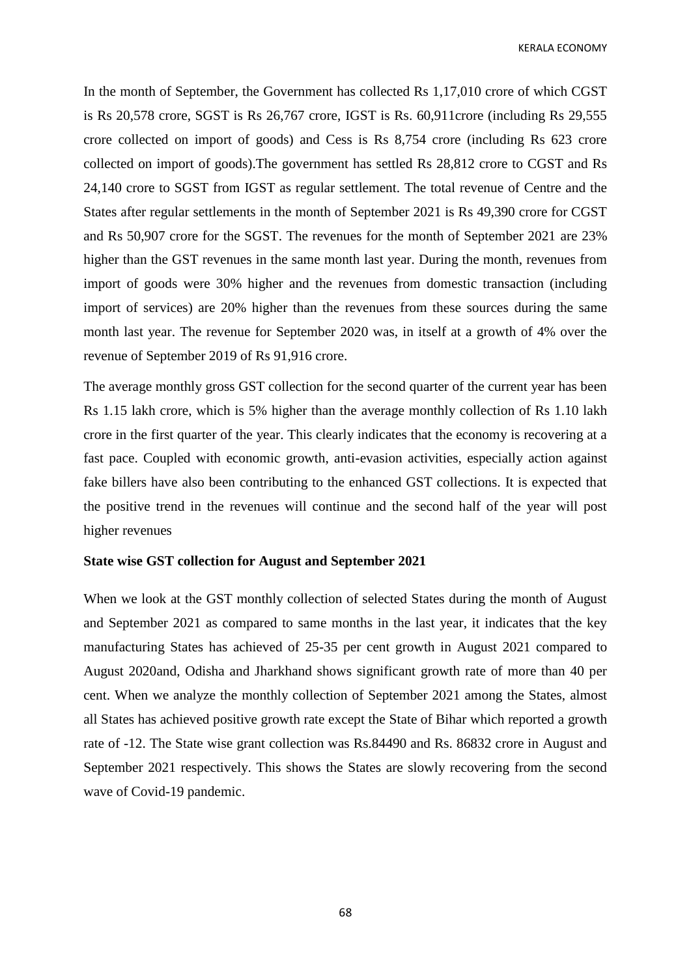In the month of September, the Government has collected Rs 1,17,010 crore of which CGST is Rs 20,578 crore, SGST is Rs 26,767 crore, IGST is Rs. 60,911crore (including Rs 29,555 crore collected on import of goods) and Cess is Rs 8,754 crore (including Rs 623 crore collected on import of goods).The government has settled Rs 28,812 crore to CGST and Rs 24,140 crore to SGST from IGST as regular settlement. The total revenue of Centre and the States after regular settlements in the month of September 2021 is Rs 49,390 crore for CGST and Rs 50,907 crore for the SGST. The revenues for the month of September 2021 are 23% higher than the GST revenues in the same month last year. During the month, revenues from import of goods were 30% higher and the revenues from domestic transaction (including import of services) are 20% higher than the revenues from these sources during the same month last year. The revenue for September 2020 was, in itself at a growth of 4% over the revenue of September 2019 of Rs 91,916 crore.

The average monthly gross GST collection for the second quarter of the current year has been Rs 1.15 lakh crore, which is 5% higher than the average monthly collection of Rs 1.10 lakh crore in the first quarter of the year. This clearly indicates that the economy is recovering at a fast pace. Coupled with economic growth, anti-evasion activities, especially action against fake billers have also been contributing to the enhanced GST collections. It is expected that the positive trend in the revenues will continue and the second half of the year will post higher revenues

### **State wise GST collection for August and September 2021**

When we look at the GST monthly collection of selected States during the month of August and September 2021 as compared to same months in the last year, it indicates that the key manufacturing States has achieved of 25-35 per cent growth in August 2021 compared to August 2020and, Odisha and Jharkhand shows significant growth rate of more than 40 per cent. When we analyze the monthly collection of September 2021 among the States, almost all States has achieved positive growth rate except the State of Bihar which reported a growth rate of -12. The State wise grant collection was Rs.84490 and Rs. 86832 crore in August and September 2021 respectively. This shows the States are slowly recovering from the second wave of Covid-19 pandemic.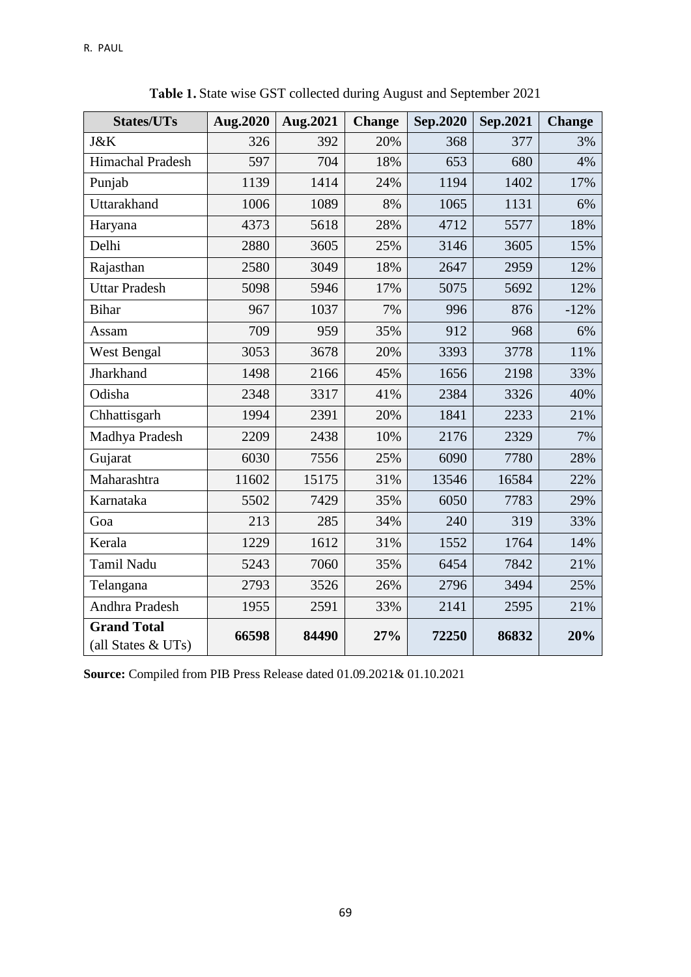| <b>States/UTs</b>                        | Aug.2020 | Aug.2021 | <b>Change</b> | Sep.2020 | Sep.2021 | <b>Change</b> |
|------------------------------------------|----------|----------|---------------|----------|----------|---------------|
| J&K                                      | 326      | 392      | 20%           | 368      | 377      | 3%            |
| Himachal Pradesh                         | 597      | 704      | 18%           | 653      | 680      | 4%            |
| Punjab                                   | 1139     | 1414     | 24%           | 1194     | 1402     | 17%           |
| Uttarakhand                              | 1006     | 1089     | 8%            | 1065     | 1131     | 6%            |
| Haryana                                  | 4373     | 5618     | 28%           | 4712     | 5577     | 18%           |
| Delhi                                    | 2880     | 3605     | 25%           | 3146     | 3605     | 15%           |
| Rajasthan                                | 2580     | 3049     | 18%           | 2647     | 2959     | 12%           |
| <b>Uttar Pradesh</b>                     | 5098     | 5946     | 17%           | 5075     | 5692     | 12%           |
| <b>Bihar</b>                             | 967      | 1037     | 7%            | 996      | 876      | $-12%$        |
| Assam                                    | 709      | 959      | 35%           | 912      | 968      | 6%            |
| West Bengal                              | 3053     | 3678     | 20%           | 3393     | 3778     | 11%           |
| Jharkhand                                | 1498     | 2166     | 45%           | 1656     | 2198     | 33%           |
| Odisha                                   | 2348     | 3317     | 41%           | 2384     | 3326     | 40%           |
| Chhattisgarh                             | 1994     | 2391     | 20%           | 1841     | 2233     | 21%           |
| Madhya Pradesh                           | 2209     | 2438     | 10%           | 2176     | 2329     | 7%            |
| Gujarat                                  | 6030     | 7556     | 25%           | 6090     | 7780     | 28%           |
| Maharashtra                              | 11602    | 15175    | 31%           | 13546    | 16584    | 22%           |
| Karnataka                                | 5502     | 7429     | 35%           | 6050     | 7783     | 29%           |
| Goa                                      | 213      | 285      | 34%           | 240      | 319      | 33%           |
| Kerala                                   | 1229     | 1612     | 31%           | 1552     | 1764     | 14%           |
| Tamil Nadu                               | 5243     | 7060     | 35%           | 6454     | 7842     | 21%           |
| Telangana                                | 2793     | 3526     | 26%           | 2796     | 3494     | 25%           |
| Andhra Pradesh                           | 1955     | 2591     | 33%           | 2141     | 2595     | 21%           |
| <b>Grand Total</b><br>(all States & UTs) | 66598    | 84490    | 27%           | 72250    | 86832    | 20%           |

Table 1. State wise GST collected during August and September 2021

**Source:** Compiled from PIB Press Release dated 01.09.2021& 01.10.2021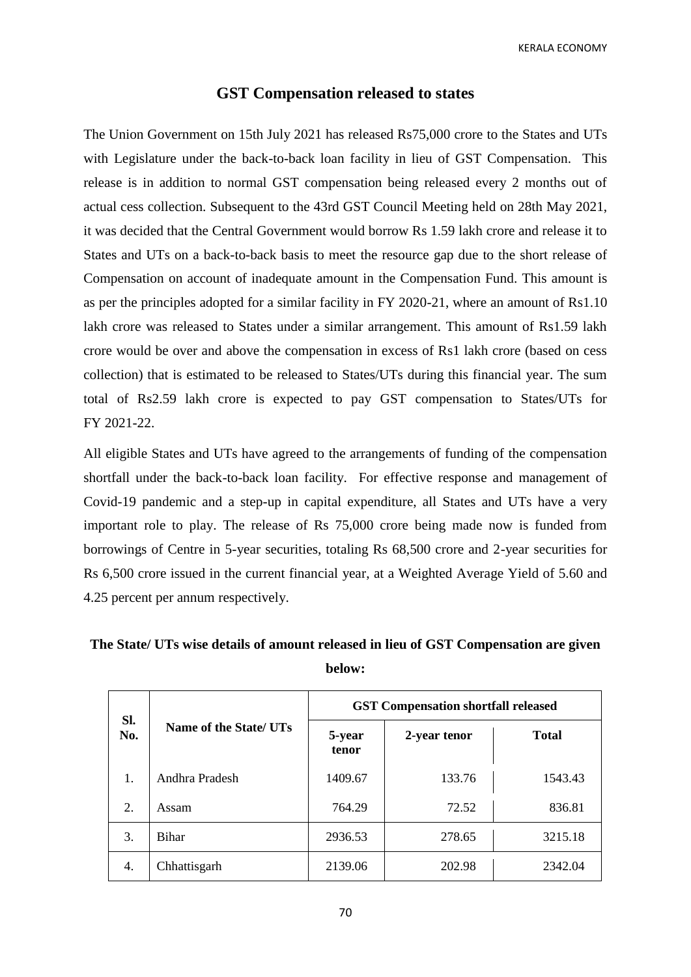### **GST Compensation released to states**

The Union Government on 15th July 2021 has released Rs75,000 crore to the States and UTs with Legislature under the back-to-back loan facility in lieu of GST Compensation. This release is in addition to normal GST compensation being released every 2 months out of actual cess collection. Subsequent to the 43rd GST Council Meeting held on 28th May 2021, it was decided that the Central Government would borrow Rs 1.59 lakh crore and release it to States and UTs on a back-to-back basis to meet the resource gap due to the short release of Compensation on account of inadequate amount in the Compensation Fund. This amount is as per the principles adopted for a similar facility in FY 2020-21, where an amount of Rs1.10 lakh crore was released to States under a similar arrangement. This amount of Rs1.59 lakh crore would be over and above the compensation in excess of Rs1 lakh crore (based on cess collection) that is estimated to be released to States/UTs during this financial year. The sum total of Rs2.59 lakh crore is expected to pay GST compensation to States/UTs for FY 2021-22.

All eligible States and UTs have agreed to the arrangements of funding of the compensation shortfall under the back-to-back loan facility. For effective response and management of Covid-19 pandemic and a step-up in capital expenditure, all States and UTs have a very important role to play. The release of Rs 75,000 crore being made now is funded from borrowings of Centre in 5-year securities, totaling Rs 68,500 crore and 2-year securities for Rs 6,500 crore issued in the current financial year, at a Weighted Average Yield of 5.60 and 4.25 percent per annum respectively.

# **The State/ UTs wise details of amount released in lieu of GST Compensation are given below:**

| SI.<br>No.       | Name of the State/ UTs | <b>GST Compensation shortfall released</b> |              |              |  |
|------------------|------------------------|--------------------------------------------|--------------|--------------|--|
|                  |                        | 5-year<br>tenor                            | 2-year tenor | <b>Total</b> |  |
| 1.               | Andhra Pradesh         | 1409.67                                    | 133.76       | 1543.43      |  |
| $\overline{2}$ . | Assam                  | 764.29                                     | 72.52        | 836.81       |  |
| 3.               | <b>Bihar</b>           | 2936.53                                    | 278.65       | 3215.18      |  |
| 4.               | Chhattisgarh           | 2139.06                                    | 202.98       | 2342.04      |  |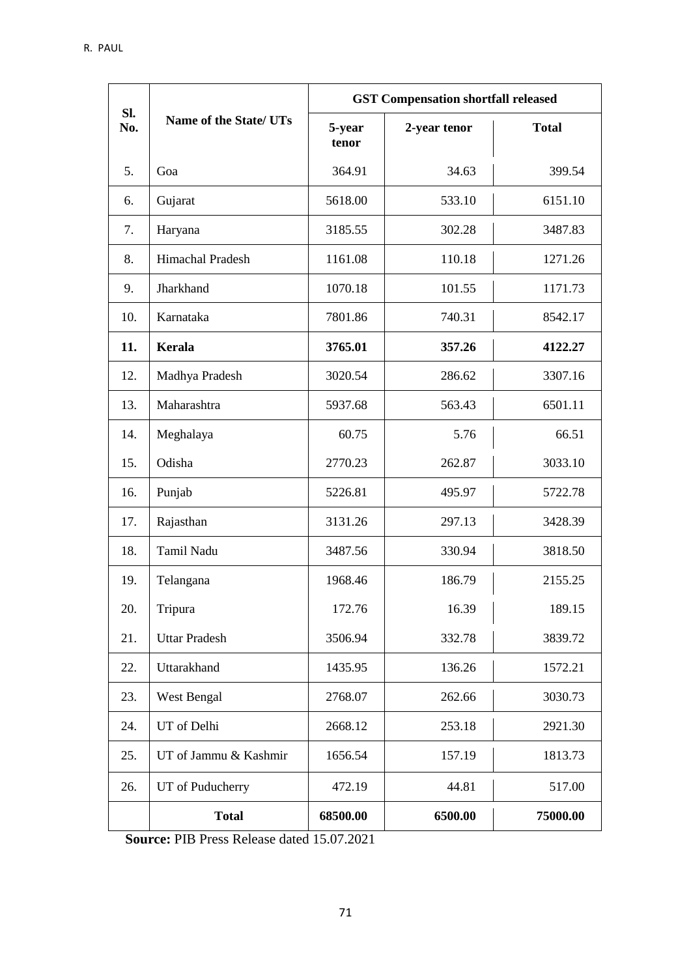|     | SI.<br>Name of the State/ UTs | <b>GST Compensation shortfall released</b> |              |              |  |
|-----|-------------------------------|--------------------------------------------|--------------|--------------|--|
| No. |                               | 5-year<br>tenor                            | 2-year tenor | <b>Total</b> |  |
| 5.  | Goa                           | 364.91                                     | 34.63        | 399.54       |  |
| 6.  | Gujarat                       | 5618.00                                    | 533.10       | 6151.10      |  |
| 7.  | Haryana                       | 3185.55                                    | 302.28       | 3487.83      |  |
| 8.  | Himachal Pradesh              | 1161.08                                    | 110.18       | 1271.26      |  |
| 9.  | Jharkhand                     | 1070.18                                    | 101.55       | 1171.73      |  |
| 10. | Karnataka                     | 7801.86                                    | 740.31       | 8542.17      |  |
| 11. | Kerala                        | 3765.01                                    | 357.26       | 4122.27      |  |
| 12. | Madhya Pradesh                | 3020.54                                    | 286.62       | 3307.16      |  |
| 13. | Maharashtra                   | 5937.68                                    | 563.43       | 6501.11      |  |
| 14. | Meghalaya                     | 60.75                                      | 5.76         | 66.51        |  |
| 15. | Odisha                        | 2770.23                                    | 262.87       | 3033.10      |  |
| 16. | Punjab                        | 5226.81                                    | 495.97       | 5722.78      |  |
| 17. | Rajasthan                     | 3131.26                                    | 297.13       | 3428.39      |  |
| 18. | Tamil Nadu                    | 3487.56                                    | 330.94       | 3818.50      |  |
| 19. | Telangana                     | 1968.46                                    | 186.79       | 2155.25      |  |
| 20. | Tripura                       | 172.76                                     | 16.39        | 189.15       |  |
| 21. | <b>Uttar Pradesh</b>          | 3506.94                                    | 332.78       | 3839.72      |  |
| 22. | Uttarakhand                   | 1435.95                                    | 136.26       | 1572.21      |  |
| 23. | West Bengal                   | 2768.07                                    | 262.66       | 3030.73      |  |
| 24. | UT of Delhi                   | 2668.12                                    | 253.18       | 2921.30      |  |
| 25. | UT of Jammu & Kashmir         | 1656.54                                    | 157.19       | 1813.73      |  |
| 26. | UT of Puducherry              | 472.19                                     | 44.81        | 517.00       |  |
|     | <b>Total</b>                  | 68500.00                                   | 6500.00      | 75000.00     |  |

**Source:** PIB Press Release dated 15.07.2021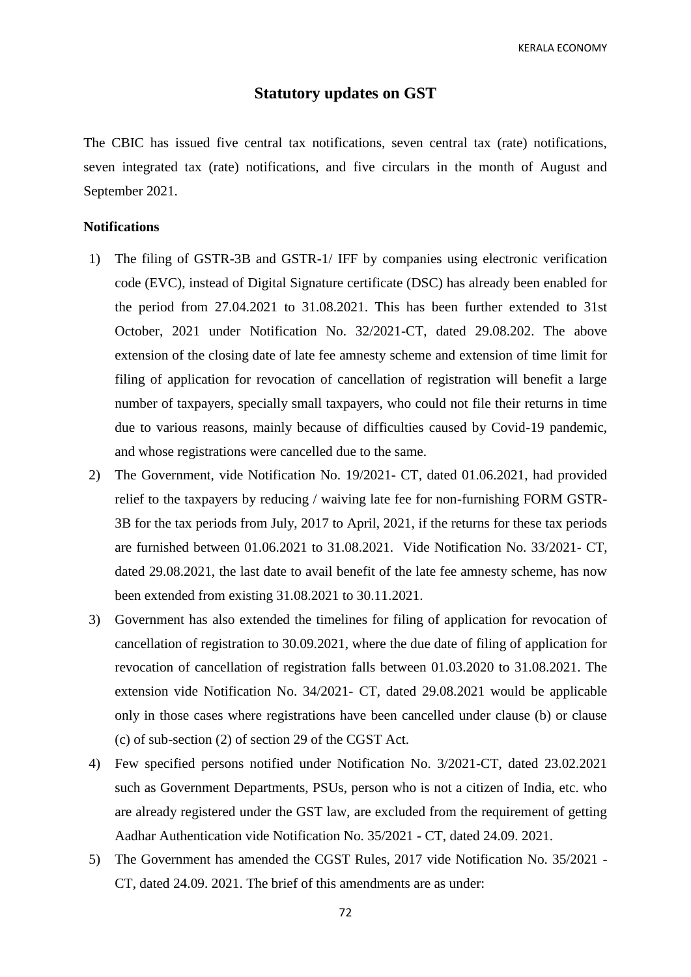## **Statutory updates on GST**

The CBIC has issued five central tax notifications, seven central tax (rate) notifications, seven integrated tax (rate) notifications, and five circulars in the month of August and September 2021.

# **Notifications**

- 1) The filing of GSTR-3B and GSTR-1/ IFF by companies using electronic verification code (EVC), instead of Digital Signature certificate (DSC) has already been enabled for the period from 27.04.2021 to 31.08.2021. This has been further extended to 31st October, 2021 under Notification No. 32/2021-CT, dated 29.08.202. The above extension of the closing date of late fee amnesty scheme and extension of time limit for filing of application for revocation of cancellation of registration will benefit a large number of taxpayers, specially small taxpayers, who could not file their returns in time due to various reasons, mainly because of difficulties caused by Covid-19 pandemic, and whose registrations were cancelled due to the same.
- 2) The Government, vide Notification No. 19/2021- CT, dated 01.06.2021, had provided relief to the taxpayers by reducing / waiving late fee for non-furnishing FORM GSTR-3B for the tax periods from July, 2017 to April, 2021, if the returns for these tax periods are furnished between 01.06.2021 to 31.08.2021. Vide Notification No. 33/2021- CT, dated 29.08.2021, the last date to avail benefit of the late fee amnesty scheme, has now been extended from existing 31.08.2021 to 30.11.2021.
- 3) Government has also extended the timelines for filing of application for revocation of cancellation of registration to 30.09.2021, where the due date of filing of application for revocation of cancellation of registration falls between 01.03.2020 to 31.08.2021. The extension vide Notification No. 34/2021- CT, dated 29.08.2021 would be applicable only in those cases where registrations have been cancelled under clause (b) or clause (c) of sub-section (2) of section 29 of the CGST Act.
- 4) Few specified persons notified under Notification No. 3/2021-CT, dated 23.02.2021 such as Government Departments, PSUs, person who is not a citizen of India, etc. who are already registered under the GST law, are excluded from the requirement of getting Aadhar Authentication vide Notification No. 35/2021 - CT, dated 24.09. 2021.
- 5) The Government has amended the CGST Rules, 2017 vide Notification No. 35/2021 CT, dated 24.09. 2021. The brief of this amendments are as under: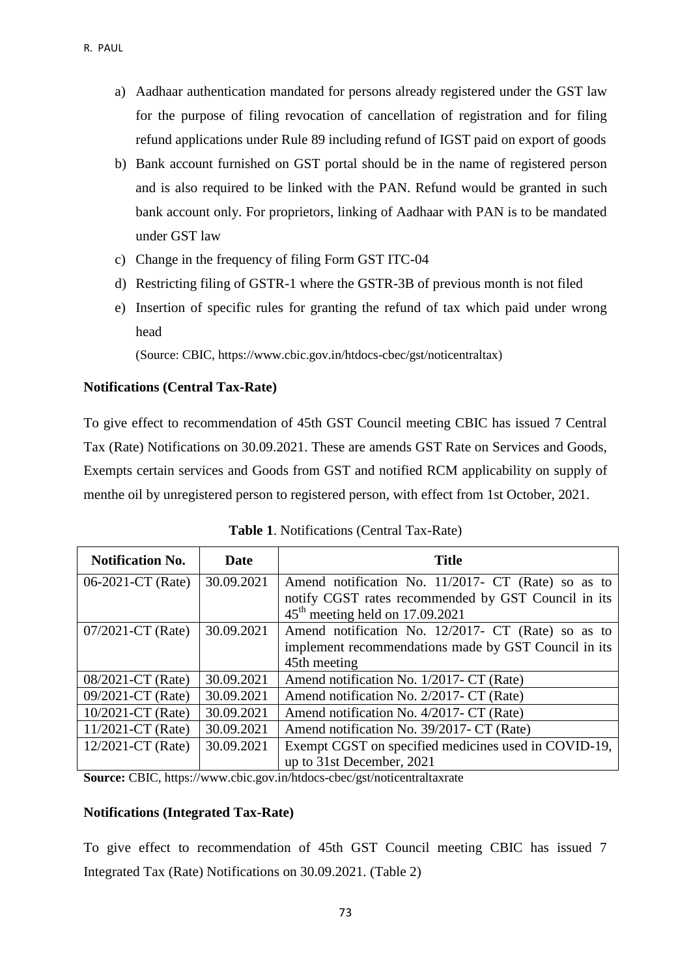- a) Aadhaar authentication mandated for persons already registered under the GST law for the purpose of filing revocation of cancellation of registration and for filing refund applications under Rule 89 including refund of IGST paid on export of goods
- b) Bank account furnished on GST portal should be in the name of registered person and is also required to be linked with the PAN. Refund would be granted in such bank account only. For proprietors, linking of Aadhaar with PAN is to be mandated under GST law
- c) Change in the frequency of filing Form GST ITC-04
- d) Restricting filing of GSTR-1 where the GSTR-3B of previous month is not filed
- e) Insertion of specific rules for granting the refund of tax which paid under wrong head

(Source: CBIC, https://www.cbic.gov.in/htdocs-cbec/gst/noticentraltax)

### **Notifications (Central Tax-Rate)**

To give effect to recommendation of 45th GST Council meeting CBIC has issued 7 Central Tax (Rate) Notifications on 30.09.2021. These are amends GST Rate on Services and Goods, Exempts certain services and Goods from GST and notified RCM applicability on supply of menthe oil by unregistered person to registered person, with effect from 1st October, 2021.

| <b>Notification No.</b> | Date       | <b>Title</b>                                         |
|-------------------------|------------|------------------------------------------------------|
| 06-2021-CT (Rate)       | 30.09.2021 | Amend notification No. 11/2017- CT (Rate) so as to   |
|                         |            | notify CGST rates recommended by GST Council in its  |
|                         |            | $45th$ meeting held on 17.09.2021                    |
| $07/2021$ -CT (Rate)    | 30.09.2021 | Amend notification No. 12/2017- CT (Rate) so as to   |
|                         |            | implement recommendations made by GST Council in its |
|                         |            | 45th meeting                                         |
| 08/2021-CT (Rate)       | 30.09.2021 | Amend notification No. 1/2017- CT (Rate)             |
| 09/2021-CT (Rate)       | 30.09.2021 | Amend notification No. 2/2017- CT (Rate)             |
| $10/2021$ -CT (Rate)    | 30.09.2021 | Amend notification No. 4/2017- CT (Rate)             |
| $11/2021$ -CT (Rate)    | 30.09.2021 | Amend notification No. 39/2017- CT (Rate)            |
| $12/2021$ -CT (Rate)    | 30.09.2021 | Exempt CGST on specified medicines used in COVID-19, |
|                         |            | up to 31st December, 2021                            |

**Source:** CBIC, https://www.cbic.gov.in/htdocs-cbec/gst/noticentraltaxrate

### **Notifications (Integrated Tax-Rate)**

To give effect to recommendation of 45th GST Council meeting CBIC has issued 7 Integrated Tax (Rate) Notifications on 30.09.2021. (Table 2)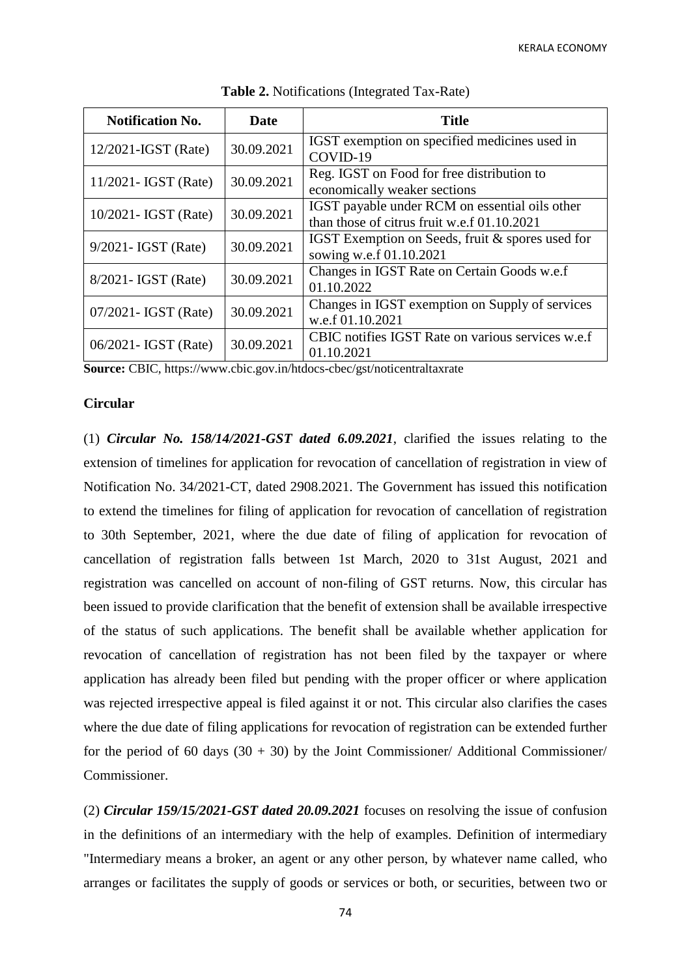| <b>Notification No.</b> | <b>Date</b> | <b>Title</b>                                      |
|-------------------------|-------------|---------------------------------------------------|
| $12/2021$ -IGST (Rate)  | 30.09.2021  | IGST exemption on specified medicines used in     |
|                         |             | COVID-19                                          |
| $11/2021$ - IGST (Rate) | 30.09.2021  | Reg. IGST on Food for free distribution to        |
|                         |             | economically weaker sections                      |
| 10/2021- IGST (Rate)    | 30.09.2021  | IGST payable under RCM on essential oils other    |
|                         |             | than those of citrus fruit w.e.f 01.10.2021       |
| $9/2021 - IGST$ (Rate)  | 30.09.2021  | IGST Exemption on Seeds, fruit & spores used for  |
|                         |             | sowing w.e.f 01.10.2021                           |
| $8/2021$ - IGST (Rate)  | 30.09.2021  | Changes in IGST Rate on Certain Goods w.e.f       |
|                         |             | 01.10.2022                                        |
| $07/2021 - IGST$ (Rate) | 30.09.2021  | Changes in IGST exemption on Supply of services   |
|                         |             | w.e.f 01.10.2021                                  |
|                         |             | CBIC notifies IGST Rate on various services w.e.f |
| 06/2021 - IGST (Rate)   | 30.09.2021  | 01.10.2021                                        |

**Table 2.** Notifications (Integrated Tax-Rate)

**Source:** CBIC, https://www.cbic.gov.in/htdocs-cbec/gst/noticentraltaxrate

### **Circular**

(1) *Circular No. 158/14/2021-GST dated 6.09.2021*, clarified the issues relating to the extension of timelines for application for revocation of cancellation of registration in view of Notification No. 34/2021-CT, dated 2908.2021. The Government has issued this notification to extend the timelines for filing of application for revocation of cancellation of registration to 30th September, 2021, where the due date of filing of application for revocation of cancellation of registration falls between 1st March, 2020 to 31st August, 2021 and registration was cancelled on account of non-filing of GST returns. Now, this circular has been issued to provide clarification that the benefit of extension shall be available irrespective of the status of such applications. The benefit shall be available whether application for revocation of cancellation of registration has not been filed by the taxpayer or where application has already been filed but pending with the proper officer or where application was rejected irrespective appeal is filed against it or not. This circular also clarifies the cases where the due date of filing applications for revocation of registration can be extended further for the period of 60 days  $(30 + 30)$  by the Joint Commissioner/ Additional Commissioner/ Commissioner.

(2) *Circular 159/15/2021-GST dated 20.09.2021* focuses on resolving the issue of confusion in the definitions of an intermediary with the help of examples. Definition of intermediary "Intermediary means a broker, an agent or any other person, by whatever name called, who arranges or facilitates the supply of goods or services or both, or securities, between two or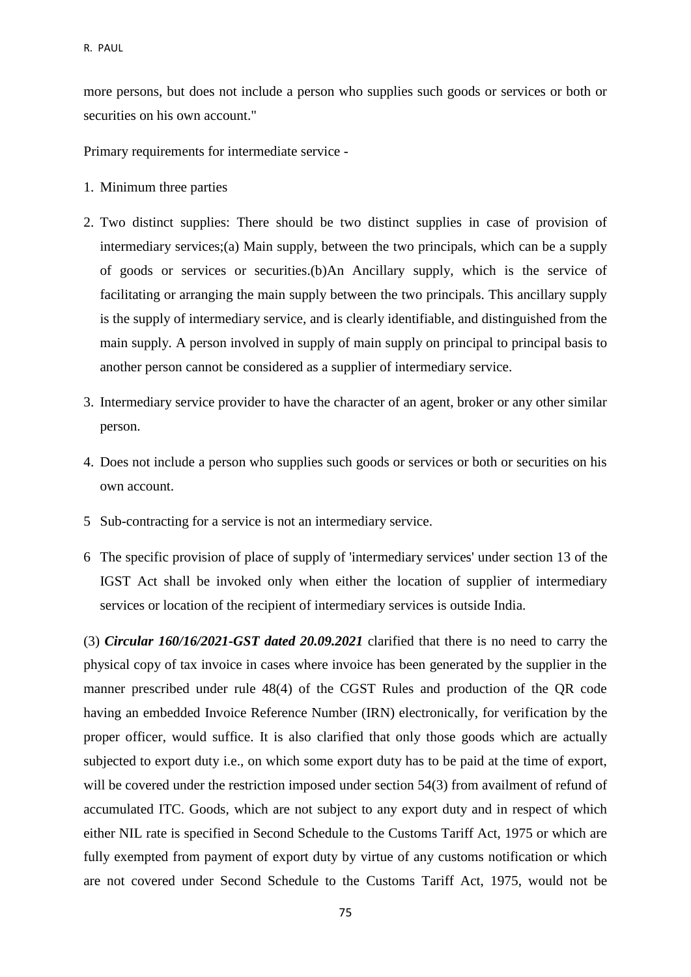more persons, but does not include a person who supplies such goods or services or both or securities on his own account."

Primary requirements for intermediate service -

- 1. Minimum three parties
- 2. Two distinct supplies: There should be two distinct supplies in case of provision of intermediary services;(a) Main supply, between the two principals, which can be a supply of goods or services or securities.(b)An Ancillary supply, which is the service of facilitating or arranging the main supply between the two principals. This ancillary supply is the supply of intermediary service, and is clearly identifiable, and distinguished from the main supply. A person involved in supply of main supply on principal to principal basis to another person cannot be considered as a supplier of intermediary service.
- 3. Intermediary service provider to have the character of an agent, broker or any other similar person.
- 4. Does not include a person who supplies such goods or services or both or securities on his own account.
- 5 Sub-contracting for a service is not an intermediary service.
- 6 The specific provision of place of supply of 'intermediary services' under section 13 of the IGST Act shall be invoked only when either the location of supplier of intermediary services or location of the recipient of intermediary services is outside India.

(3) *Circular 160/16/2021-GST dated 20.09.2021* clarified that there is no need to carry the physical copy of tax invoice in cases where invoice has been generated by the supplier in the manner prescribed under rule 48(4) of the CGST Rules and production of the QR code having an embedded Invoice Reference Number (IRN) electronically, for verification by the proper officer, would suffice. It is also clarified that only those goods which are actually subjected to export duty i.e., on which some export duty has to be paid at the time of export, will be covered under the restriction imposed under section 54(3) from availment of refund of accumulated ITC. Goods, which are not subject to any export duty and in respect of which either NIL rate is specified in Second Schedule to the Customs Tariff Act, 1975 or which are fully exempted from payment of export duty by virtue of any customs notification or which are not covered under Second Schedule to the Customs Tariff Act, 1975, would not be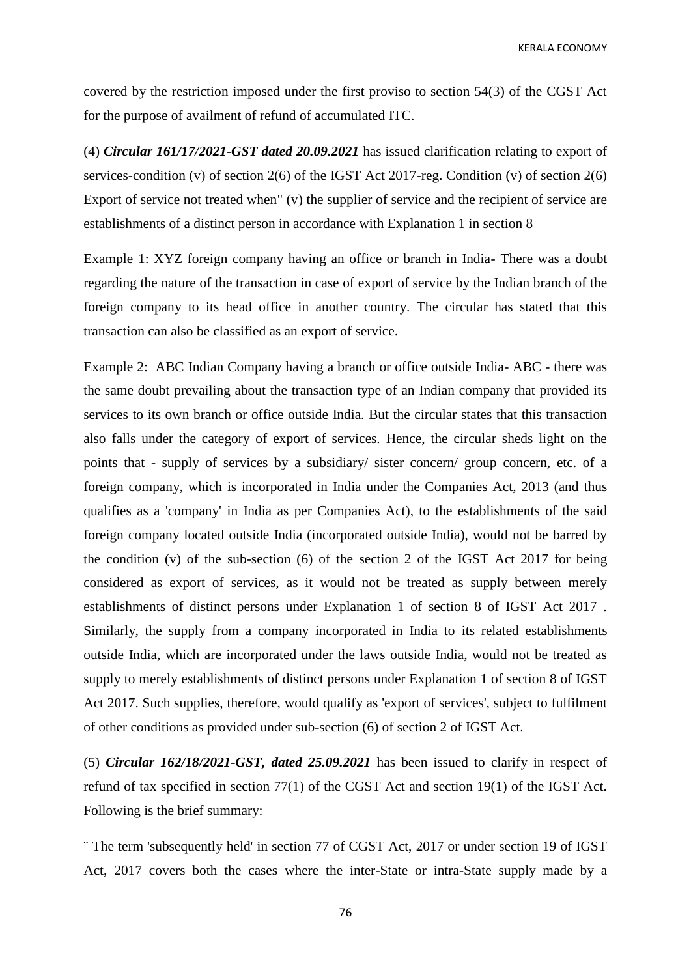covered by the restriction imposed under the first proviso to section 54(3) of the CGST Act for the purpose of availment of refund of accumulated ITC.

(4) *Circular 161/17/2021-GST dated 20.09.2021* has issued clarification relating to export of services-condition (v) of section 2(6) of the IGST Act 2017-reg. Condition (v) of section 2(6) Export of service not treated when" (v) the supplier of service and the recipient of service are establishments of a distinct person in accordance with Explanation 1 in section 8

Example 1: XYZ foreign company having an office or branch in India- There was a doubt regarding the nature of the transaction in case of export of service by the Indian branch of the foreign company to its head office in another country. The circular has stated that this transaction can also be classified as an export of service.

Example 2: ABC Indian Company having a branch or office outside India- ABC - there was the same doubt prevailing about the transaction type of an Indian company that provided its services to its own branch or office outside India. But the circular states that this transaction also falls under the category of export of services. Hence, the circular sheds light on the points that - supply of services by a subsidiary/ sister concern/ group concern, etc. of a foreign company, which is incorporated in India under the Companies Act, 2013 (and thus qualifies as a 'company' in India as per Companies Act), to the establishments of the said foreign company located outside India (incorporated outside India), would not be barred by the condition (v) of the sub-section (6) of the section 2 of the IGST Act 2017 for being considered as export of services, as it would not be treated as supply between merely establishments of distinct persons under Explanation 1 of section 8 of IGST Act 2017 . Similarly, the supply from a company incorporated in India to its related establishments outside India, which are incorporated under the laws outside India, would not be treated as supply to merely establishments of distinct persons under Explanation 1 of section 8 of IGST Act 2017. Such supplies, therefore, would qualify as 'export of services', subject to fulfilment of other conditions as provided under sub-section (6) of section 2 of IGST Act.

(5) *Circular 162/18/2021-GST, dated 25.09.2021* has been issued to clarify in respect of refund of tax specified in section 77(1) of the CGST Act and section 19(1) of the IGST Act. Following is the brief summary:

¨ The term 'subsequently held' in section 77 of CGST Act, 2017 or under section 19 of IGST Act, 2017 covers both the cases where the inter-State or intra-State supply made by a